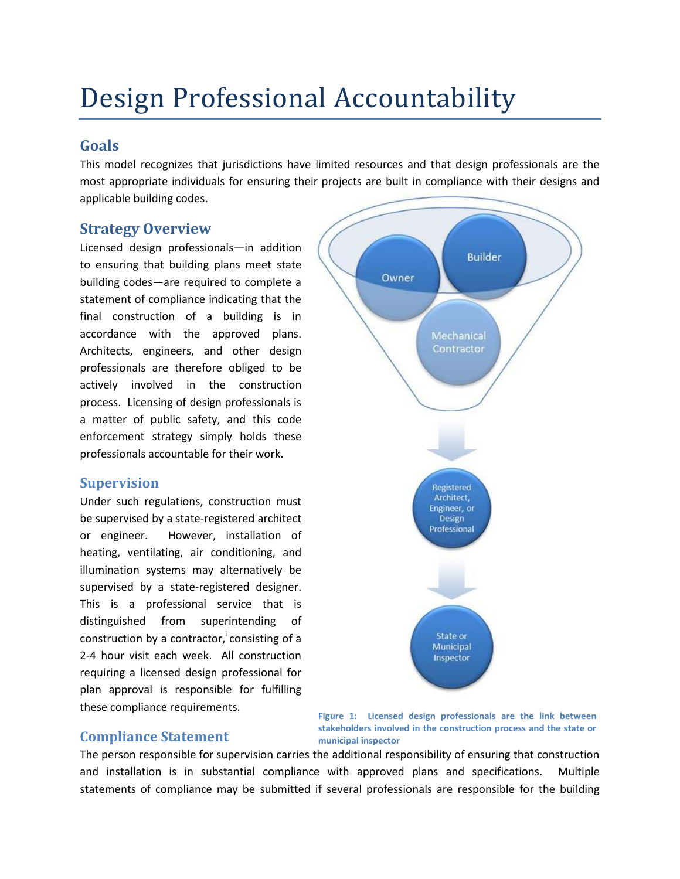# Design Professional Accountability

#### **Goals**

This model recognizes that jurisdictions have limited resources and that design professionals are the most appropriate individuals for ensuring their projects are built in compliance with their designs and applicable building codes.

## **Strategy Overview**

Licensed design professionals—in addition to ensuring that building plans meet state building codes—are required to complete a statement of compliance indicating that the final construction of a building is in accordance with the approved plans. Architects, engineers, and other design professionals are therefore obliged to be actively involved in the construction process. Licensing of design professionals is a matter of public safety, and this code enforcement strategy simply holds these professionals accountable for their work.

#### **Supervision**

Under such regulations, construction must be supervised by a state-registered architect or engineer. However, installation of heating, ventilating, air conditioning, and illumination systems may alternatively be supervised by a state-registered designer. This is a professional service that is distinguished from superintending of construction by a contractor,<sup>i</sup> consisting of a 2-4 hour visit each week. All construction requiring a licensed design professional for plan approval is responsible for fulfilling these compliance requirements.



#### **Compliance Statement**

**Figure 1: Licensed design professionals are the link between stakeholders involved in the construction process and the state or municipal inspector**

The person responsible for supervision carries the additional responsibility of ensuring that construction and installation is in substantial compliance with approved plans and specifications. Multiple statements of compliance may be submitted if several professionals are responsible for the building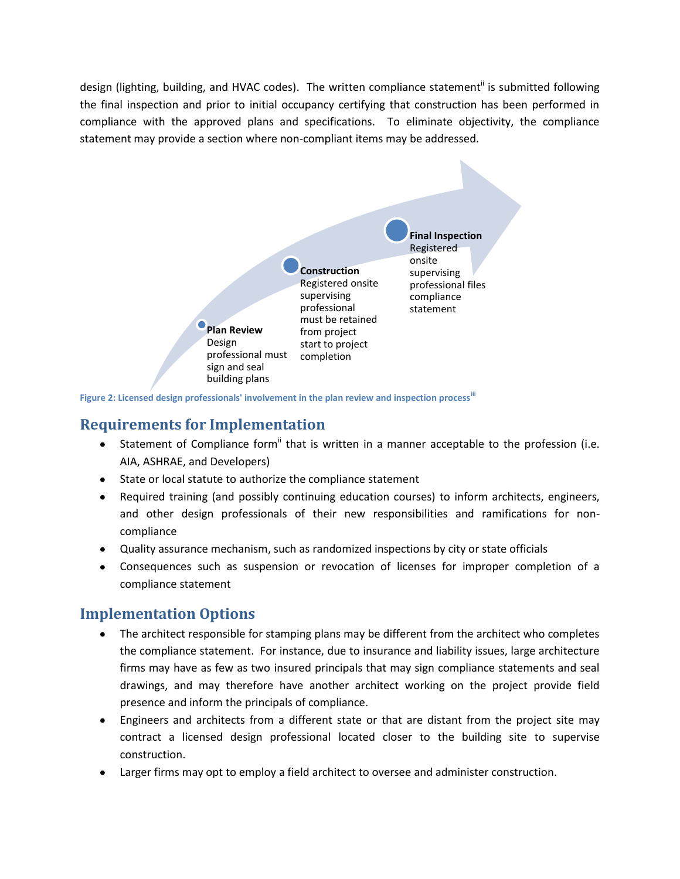design (lighting, building, and HVAC codes). The written compliance statement<sup>ii</sup> is submitted following the final inspection and prior to initial occupancy certifying that construction has been performed in compliance with the approved plans and specifications. To eliminate objectivity, the compliance statement may provide a section where non-compliant items may be addressed.



Figure 2: Licensed design professionals' involvement in the plan review and inspection process<sup>iii</sup>

## **Requirements for Implementation**

- **Statement of Compliance form**<sup>ii</sup> that is written in a manner acceptable to the profession (i.e. AIA, ASHRAE, and Developers)
- State or local statute to authorize the compliance statement
- Required training (and possibly continuing education courses) to inform architects, engineers, and other design professionals of their new responsibilities and ramifications for noncompliance
- Quality assurance mechanism, such as randomized inspections by city or state officials
- Consequences such as suspension or revocation of licenses for improper completion of a compliance statement

#### **Implementation Options**

- The architect responsible for stamping plans may be different from the architect who completes the compliance statement. For instance, due to insurance and liability issues, large architecture firms may have as few as two insured principals that may sign compliance statements and seal drawings, and may therefore have another architect working on the project provide field presence and inform the principals of compliance.
- Engineers and architects from a different state or that are distant from the project site may contract a licensed design professional located closer to the building site to supervise construction.
- Larger firms may opt to employ a field architect to oversee and administer construction.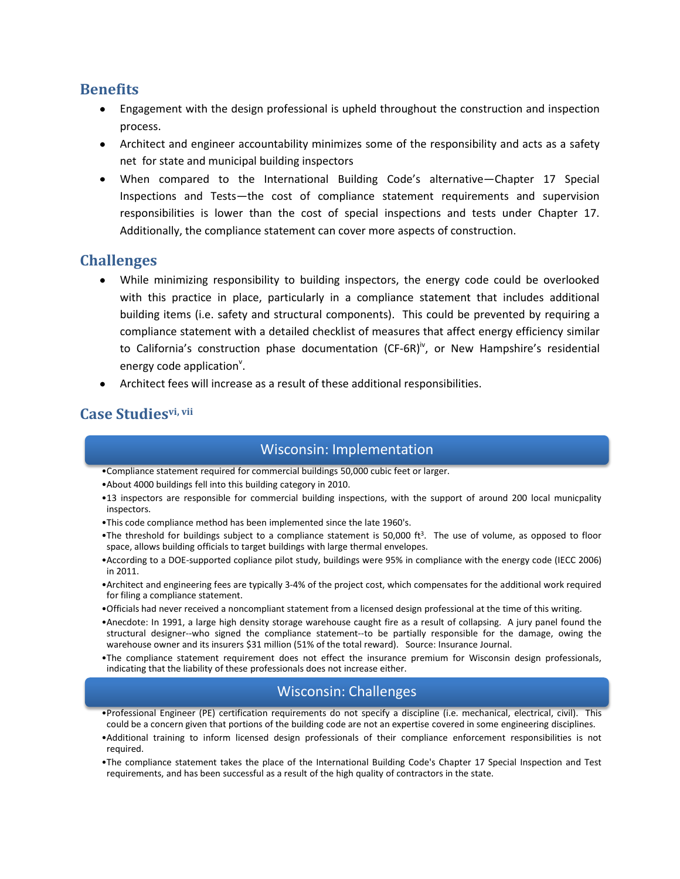#### **Benefits**

- Engagement with the design professional is upheld throughout the construction and inspection process.
- Architect and engineer accountability minimizes some of the responsibility and acts as a safety net for state and municipal building inspectors
- When compared to the International Building Code's alternative—Chapter 17 Special Inspections and Tests—the cost of compliance statement requirements and supervision responsibilities is lower than the cost of special inspections and tests under Chapter 17. Additionally, the compliance statement can cover more aspects of construction.

## **Challenges**

- While minimizing responsibility to building inspectors, the energy code could be overlooked with this practice in place, particularly in a compliance statement that includes additional building items (i.e. safety and structural components). This could be prevented by requiring a compliance statement with a detailed checklist of measures that affect energy efficiency similar to California's construction phase documentation (CF-6R) $^{\circ}$ , or New Hampshire's residential energy code application<sup>v</sup>.
- Architect fees will increase as a result of these additional responsibilities.

## **Case Studiesvi, vii**

#### Wisconsin: Implementation

- •Compliance statement required for commercial buildings 50,000 cubic feet or larger.
- •About 4000 buildings fell into this building category in 2010.
- •13 inspectors are responsible for commercial building inspections, with the support of around 200 local municpality inspectors.
- •This code compliance method has been implemented since the late 1960's.
- . The threshold for buildings subject to a compliance statement is 50,000 ft<sup>3</sup>. The use of volume, as opposed to floor space, allows building officials to target buildings with large thermal envelopes.
- •According to a DOE-supported copliance pilot study, buildings were 95% in compliance with the energy code (IECC 2006) in 2011.
- •Architect and engineering fees are typically 3-4% of the project cost, which compensates for the additional work required for filing a compliance statement.
- •Officials had never received a noncompliant statement from a licensed design professional at the time of this writing.
- •Anecdote: In 1991, a large high density storage warehouse caught fire as a result of collapsing. A jury panel found the structural designer--who signed the compliance statement--to be partially responsible for the damage, owing the warehouse owner and its insurers \$31 million (51% of the total reward). Source: Insurance Journal.
- •The compliance statement requirement does not effect the insurance premium for Wisconsin design professionals, indicating that the liability of these professionals does not increase either.

## Wisconsin: Challenges

- •Professional Engineer (PE) certification requirements do not specify a discipline (i.e. mechanical, electrical, civil). This could be a concern given that portions of the building code are not an expertise covered in some engineering disciplines.
- •Additional training to inform licensed design professionals of their compliance enforcement responsibilities is not required.
- •The compliance statement takes the place of the International Building Code's Chapter 17 Special Inspection and Test requirements, and has been successful as a result of the high quality of contractors in the state.